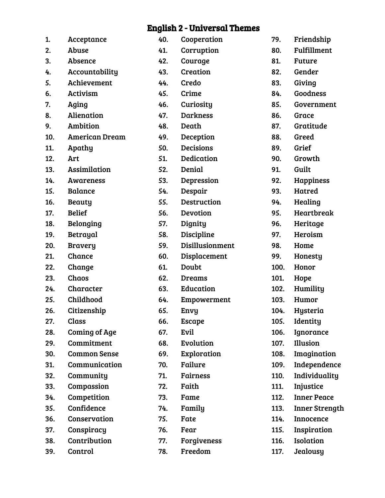## English 2 - Universal Themes

| 1.  | Acceptance            | 40. | Cooperation      | 79.  | Friendship            |
|-----|-----------------------|-----|------------------|------|-----------------------|
| 2.  | Abuse                 | 41. | Corruption       | 80.  | Fulfillment           |
| 3.  | Absence               | 42. | Courage          | 81.  | <b>Future</b>         |
| 4.  | Accountability        | 43. | Creation         | 82.  | Gender                |
| 5.  | Achievement           | 44. | Credo            | 83.  | Giving                |
| 6.  | <b>Activism</b>       | 45. | Crime            | 84.  | Goodness              |
| 7.  | Aging                 | 46. | Curiosity        | 85.  | Government            |
| 8.  | Alienation            | 47. | <b>Darkness</b>  | 86.  | Grace                 |
| 9.  | Ambition              | 48. | Death            | 87.  | Gratitude             |
| 10. | <b>American Dream</b> | 49. | Deception        | 88.  | Greed                 |
| 11. | Apathy                | 50. | <b>Decisions</b> | 89.  | Grief                 |
| 12. | Art                   | 51. | Dedication       | 90.  | Growth                |
| 13. | <b>Assimilation</b>   | 52. | Denial           | 91.  | Guilt                 |
| 14. | <b>Awareness</b>      | 53. | Depression       | 92.  | Happiness             |
| 15. | <b>Balance</b>        | 54. | Despair          | 93.  | Hatred                |
| 16. | <b>Beauty</b>         | 55. | Destruction      | 94.  | Healing               |
| 17. | <b>Belief</b>         | 56. | Devotion         | 95.  | Heartbreak            |
| 18. | <b>Belonging</b>      | 57. | Dignity          | 96.  | Heritage              |
| 19. | Betrayal              | 58. | Discipline       | 97.  | Heroism               |
| 20. | <b>Bravery</b>        | 59. | Disillusionment  | 98.  | Home                  |
| 21. | Chance                | 60. | Displacement     | 99.  | Honesty               |
| 22. | Change                | 61. | Doubt            | 100. | Honor                 |
| 23. | Chaos                 | 62. | <b>Dreams</b>    | 101. | Hope                  |
| 24. | Character             | 63. | Education        | 102. | Humility              |
| 25. | Childhood             | 64. | Empowerment      | 103. | Humor                 |
| 26. | Citizenship           | 65. | Envy             | 104. | Hysteria              |
| 27. | Class                 | 66. | <b>Escape</b>    | 105. | Identity              |
| 28. | <b>Coming of Age</b>  | 67. | Evil             | 106. | Ignorance             |
| 29. | Commitment            | 68. | Evolution        | 107. | Illusion              |
| 30. | <b>Common Sense</b>   | 69. | Exploration      | 108. | Imagination           |
| 31. | Communication         | 70. | Failure          | 109. | Independence          |
| 32. | Community             | 71. | Fairness         | 110. | Individuality         |
| 33. | Compassion            | 72. | Faith            | 111. | Injustice             |
| 34. | Competition           | 73. | Fame             | 112. | <b>Inner Peace</b>    |
| 35. | Confidence            | 74. | Family           | 113. | <b>Inner Strength</b> |
| 36. | Conservation          | 75. | Fate             | 114. | Innocence             |
| 37. | Conspiracy            | 76. | Fear             | 115. | Inspiration           |
| 38. | Contribution          | 77. | Forgiveness      | 116. | Isolation             |
| 39. | Control               | 78. | Freedom          | 117. | Jealousy              |